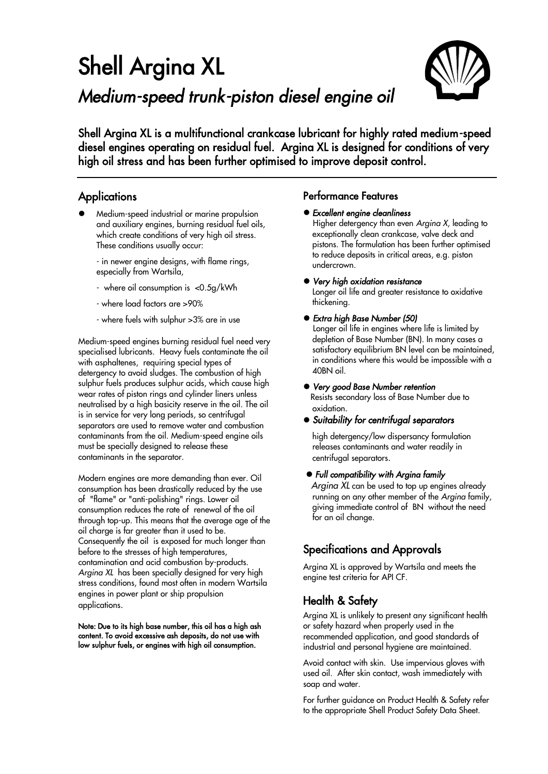# Shell Argina XL *Medium-speed trunk-piston diesel engine oil*



Shell Argina XL is a multifunctional crankcase lubricant for highly rated medium-speed diesel engines operating on residual fuel. Argina XL is designed for conditions of very high oil stress and has been further optimised to improve deposit control.

## **Applications**

 Medium-speed industrial or marine propulsion and auxiliary engines, burning residual fuel oils, which create conditions of very high oil stress. These conditions usually occur:

- in newer engine designs, with flame rings, especially from Wartsila,

- where oil consumption is <0.5g/kWh
- where load factors are >90%
- where fuels with sulphur >3% are in use

Medium-speed engines burning residual fuel need very specialised lubricants. Heavy fuels contaminate the oil with asphaltenes, requiring special types of detergency to avoid sludges. The combustion of high sulphur fuels produces sulphur acids, which cause high wear rates of piston rings and cylinder liners unless neutralised by a high basicity reserve in the oil. The oil is in service for very long periods, so centrifugal separators are used to remove water and combustion contaminants from the oil. Medium-speed engine oils must be specially designed to release these contaminants in the separator.

Modern engines are more demanding than ever. Oil consumption has been drastically reduced by the use of "flame" or "anti-polishing" rings. Lower oil consumption reduces the rate of renewal of the oil through top-up. This means that the average age of the oil charge is far greater than it used to be. Consequently the oil is exposed for much longer than before to the stresses of high temperatures, contamination and acid combustion by-products. *Argina XL* has been specially designed for very high stress conditions, found most often in modern Wartsila engines in power plant or ship propulsion applications.

Note: Due to its high base number, this oil has a high ash content. To avoid excessive ash deposits, do not use with low sulphur fuels, or engines with high oil consumption.

### Performance Features

#### *Excellent engine cleanliness*

Higher detergency than even *Argina X*, leading to exceptionally clean crankcase, valve deck and pistons. The formulation has been further optimised to reduce deposits in critical areas, e.g. piston undercrown.

#### *Very high oxidation resistance*

Longer oil life and greater resistance to oxidative thickening.

#### *Extra high Base Number (50)*

Longer oil life in engines where life is limited by depletion of Base Number (BN). In many cases a satisfactory equilibrium BN level can be maintained, in conditions where this would be impossible with a 40BN oil.

#### *Very good Base Number retention*

Resists secondary loss of Base Number due to oxidation.

*Suitability for centrifugal separators* 

high detergency/low dispersancy formulation releases contaminants and water readily in centrifugal separators.

#### *Full compatibility with Argina family*

 *Argina XL* can be used to top up engines already running on any other member of the *Argina* family, giving immediate control of BN without the need for an oil change.

## Specifications and Approvals

Argina XL is approved by Wartsila and meets the engine test criteria for API CF.

## Health & Safety

Argina XL is unlikely to present any significant health or safety hazard when properly used in the recommended application, and good standards of industrial and personal hygiene are maintained.

Avoid contact with skin. Use impervious gloves with used oil. After skin contact, wash immediately with soap and water.

For further guidance on Product Health & Safety refer to the appropriate Shell Product Safety Data Sheet.